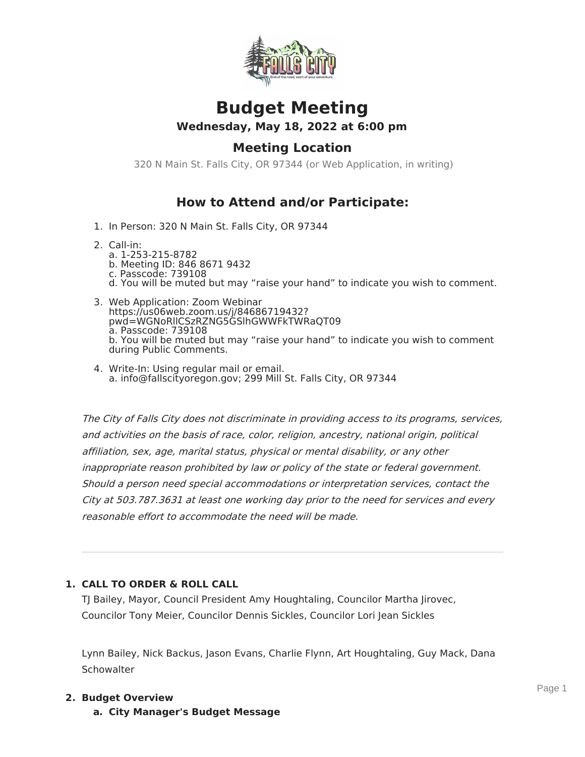

# **Budget Meeting Wednesday, May 18, 2022 at 6:00 pm**

# **Meeting Location**

320 N Main St. Falls City, OR 97344 (or Web Application, in writing)

# **How to Attend and/or Participate:**

- 1. In Person: 320 N Main St. Falls City, OR 97344
- 2. Call-in:
	- a. 1-253-215-8782 b. Meeting ID: 846 8671 9432 c. Passcode: 739108 d. You will be muted but may "raise your hand" to indicate you wish to comment.
- 3. Web Application: Zoom Webinar https://us06web.zoom.us/j/84686719432? pwd=WGNoRllCSzRZNG5GSlhGWWFkTWRaQT09 a. Passcode: 739108 b. You will be muted but may "raise your hand" to indicate you wish to comment during Public Comments.
- 4. Write-In: Using regular mail or email. a. info@fallscityoregon.gov; 299 Mill St. Falls City, OR 97344

The City of Falls City does not discriminate in providing access to its programs, services, and activities on the basis of race, color, religion, ancestry, national origin, political affiliation, sex, age, marital status, physical or mental disability, or any other inappropriate reason prohibited by law or policy of the state or federal government. Should <sup>a</sup> person need special accommodations or interpretation services, contact the City at 503.787.3631 at least one working day prior to the need for services and every reasonable effort to accommodate the need will be made.

### **1. CALL TO ORDER & ROLL CALL**

TJ Bailey, Mayor, Council President Amy Houghtaling, Councilor Martha Jirovec, Councilor Tony Meier, Councilor Dennis Sickles, Councilor Lori Jean Sickles

Lynn Bailey, Nick Backus, Jason Evans, Charlie Flynn, Art Houghtaling, Guy Mack, Dana **Schowalter** 

#### **2. Budget Overview**

**a. City Manager's Budget Message**